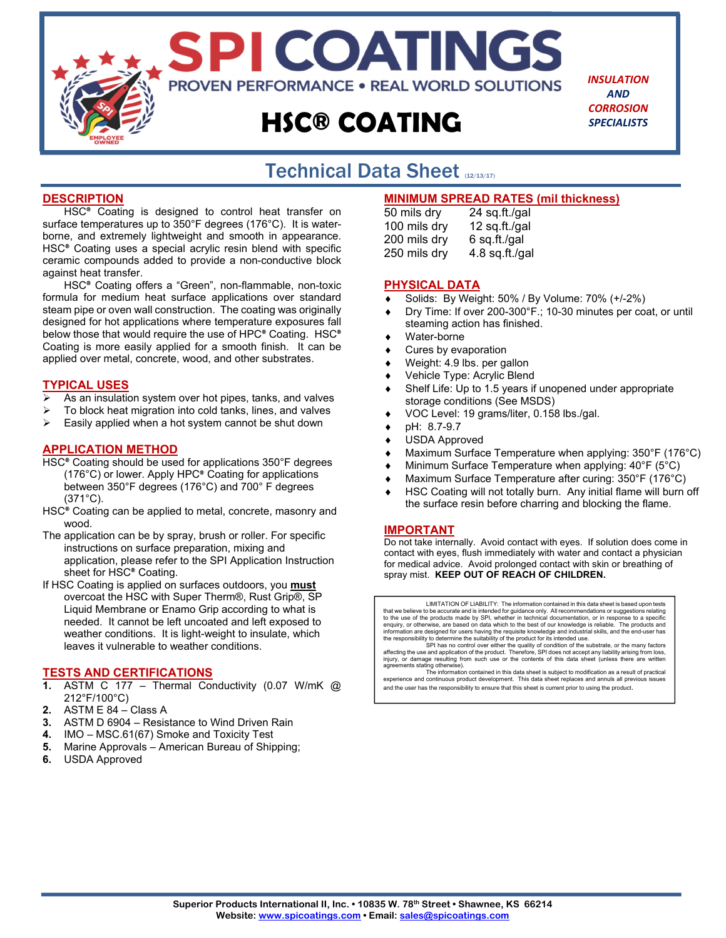

*INSULATION AND CORROSION SPECIALISTS*

## Technical Data Sheet (12/13/17) j

## **DESCRIPTION**

HSC® Coating is designed to control heat transfer on surface temperatures up to 350°F degrees (176°C). It is waterborne, and extremely lightweight and smooth in appearance. HSC® Coating uses a special acrylic resin blend with specific ceramic compounds added to provide a non-conductive block against heat transfer.

HSC® Coating offers a "Green", non-flammable, non-toxic formula for medium heat surface applications over standard steam pipe or oven wall construction. The coating was originally designed for hot applications where temperature exposures fall below those that would require the use of HPC® Coating. HSC® Coating is more easily applied for a smooth finish. It can be applied over metal, concrete, wood, and other substrates.

### **TYPICAL USES**

- As an insulation system over hot pipes, tanks, and valves
- $\triangleright$  To block heat migration into cold tanks, lines, and valves
- $\triangleright$  Easily applied when a hot system cannot be shut down

### **APPLICATION METHOD**

- HSC® Coating should be used for applications 350°F degrees (176°C) or lower. Apply HPC® Coating for applications between 350°F degrees (176°C) and 700° F degrees (371°C).
- HSC<sup>®</sup> Coating can be applied to metal, concrete, masonry and wood.
- The application can be by spray, brush or roller. For specific instructions on surface preparation, mixing and application, please refer to the SPI Application Instruction sheet for HSC® Coating.
- If HSC Coating is applied on surfaces outdoors, you **must** overcoat the HSC with Super Therm®, Rust Grip®, SP Liquid Membrane or Enamo Grip according to what is needed. It cannot be left uncoated and left exposed to weather conditions. It is light-weight to insulate, which leaves it vulnerable to weather conditions.

#### **TESTS AND CERTIFICATIONS**

- **1.** ASTM C 177 Thermal Conductivity (0.07 W/mK @ 212°F/100°C)
- **2.** ASTM E 84 Class A
- **3.** ASTM D 6904 Resistance to Wind Driven Rain
- **4.** IMO MSC.61(67) Smoke and Toxicity Test
- **5.** Marine Approvals American Bureau of Shipping;
- **6.** USDA Approved

## **MINIMUM SPREAD RATES (mil thickness)**

| 50 mils dry  | 24 sq.ft./gal  |
|--------------|----------------|
| 100 mils dry | 12 sq.ft./gal  |
| 200 mils dry | 6 sq.ft./gal   |
| 250 mils dry | 4.8 sq.ft./gal |

#### **PHYSICAL DATA**

- Solids: By Weight: 50% / By Volume: 70% (+/-2%)
- Dry Time: If over 200-300°F.; 10-30 minutes per coat, or until steaming action has finished.
- Water-borne
- Cures by evaporation
- Weight: 4.9 lbs. per gallon
- Vehicle Type: Acrylic Blend
- Shelf Life: Up to 1.5 years if unopened under appropriate storage conditions (See MSDS)
- VOC Level: 19 grams/liter, 0.158 lbs./gal.
- pH: 8.7-9.7
- USDA Approved
- Maximum Surface Temperature when applying: 350°F (176°C)
- Minimum Surface Temperature when applying: 40°F (5°C)
- Maximum Surface Temperature after curing: 350°F (176°C)
- HSC Coating will not totally burn. Any initial flame will burn off the surface resin before charring and blocking the flame.

#### **IMPORTANT**

Do not take internally. Avoid contact with eyes. If solution does come in contact with eyes, flush immediately with water and contact a physician for medical advice. Avoid prolonged contact with skin or breathing of spray mist. **KEEP OUT OF REACH OF CHILDREN.**

LIMITATION OF LIABILITY: The information contained in this data sheet is based upon tests that we believe to be accurate and is intended for guidance only. All recommendations or suggestions relating<br>to the use of the products made by SPI, whether in technical documentation, or in response to a specific<br>enquiry

SPI has no control over either the quality of condition of the substrate, or the many factors affecting the use and application of the product. Therefore, SPI does not accept any liability arising from loss, injury, or damage resulting from such use or the contents of this data sheet (unless there are written agreements stating otherwise).

The information contained in this data sheet is subject to modification as a result of practical experience and continuous product development. This data sheet replaces and annuls all previous issues and the user has the responsibility to ensure that this sheet is current prior to using the product.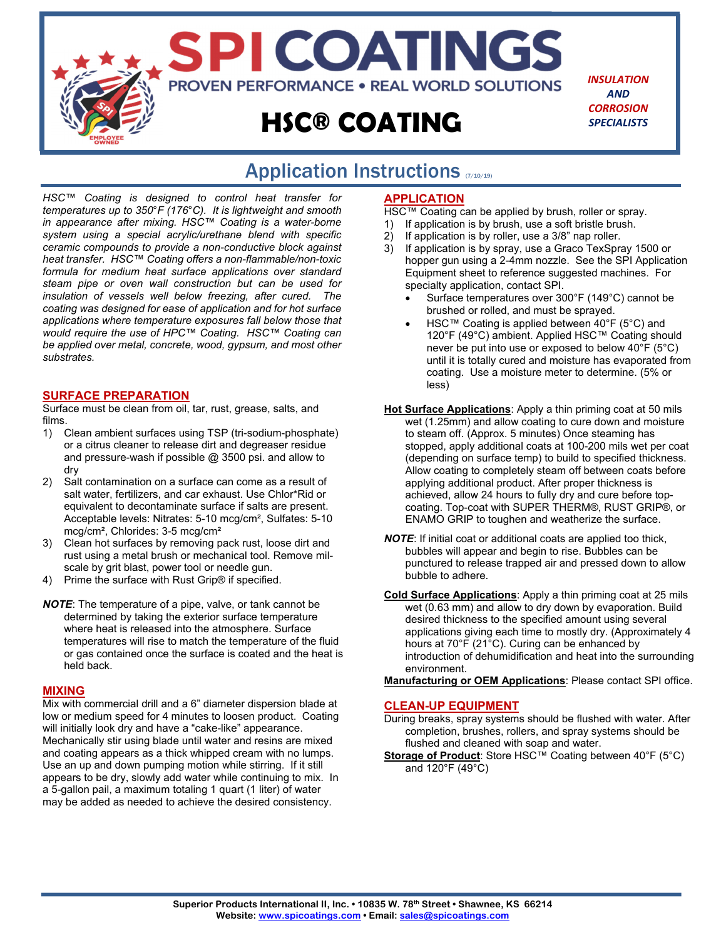

# Application Instructions (710/19)

*HSC™ Coating is designed to control heat transfer for temperatures up to 350*°*F (176*°*C). It is lightweight and smooth in appearance after mixing. HSC™ Coating is a water-borne system using a special acrylic/urethane blend with specific ceramic compounds to provide a non-conductive block against heat transfer. HSC™ Coating offers a non-flammable/non-toxic formula for medium heat surface applications over standard steam pipe or oven wall construction but can be used for insulation of vessels well below freezing, after cured. The coating was designed for ease of application and for hot surface applications where temperature exposures fall below those that would require the use of HPC™ Coating. HSC™ Coating can be applied over metal, concrete, wood, gypsum, and most other substrates.* 

## **SURFACE PREPARATION**

Surface must be clean from oil, tar, rust, grease, salts, and films.

- 1) Clean ambient surfaces using TSP (tri-sodium-phosphate) or a citrus cleaner to release dirt and degreaser residue and pressure-wash if possible @ 3500 psi. and allow to dry
- 2) Salt contamination on a surface can come as a result of salt water, fertilizers, and car exhaust. Use Chlor\*Rid or equivalent to decontaminate surface if salts are present. Acceptable levels: Nitrates: 5-10 mcg/cm², Sulfates: 5-10 mcg/cm², Chlorides: 3-5 mcg/cm²
- 3) Clean hot surfaces by removing pack rust, loose dirt and rust using a metal brush or mechanical tool. Remove milscale by grit blast, power tool or needle gun.
- 4) Prime the surface with Rust Grip® if specified.
- *NOTE*: The temperature of a pipe, valve, or tank cannot be determined by taking the exterior surface temperature where heat is released into the atmosphere. Surface temperatures will rise to match the temperature of the fluid or gas contained once the surface is coated and the heat is held back.

#### **MIXING**

Mix with commercial drill and a 6" diameter dispersion blade at low or medium speed for 4 minutes to loosen product. Coating will initially look dry and have a "cake-like" appearance. Mechanically stir using blade until water and resins are mixed and coating appears as a thick whipped cream with no lumps. Use an up and down pumping motion while stirring. If it still appears to be dry, slowly add water while continuing to mix. In a 5-gallon pail, a maximum totaling 1 quart (1 liter) of water may be added as needed to achieve the desired consistency.

### **APPLICATION**

HSC™ Coating can be applied by brush, roller or spray.

- 1) If application is by brush, use a soft bristle brush.
- 2) If application is by roller, use a 3/8" nap roller.
- 3) If application is by spray, use a Graco TexSpray 1500 or hopper gun using a 2-4mm nozzle. See the SPI Application Equipment sheet to reference suggested machines. For specialty application, contact SPI.
	- Surface temperatures over 300°F (149°C) cannot be brushed or rolled, and must be sprayed.
	- HSC™ Coating is applied between 40°F (5°C) and 120°F (49°C) ambient. Applied HSC™ Coating should never be put into use or exposed to below 40°F (5°C) until it is totally cured and moisture has evaporated from coating. Use a moisture meter to determine. (5% or less)
- **Hot Surface Applications**: Apply a thin priming coat at 50 mils wet (1.25mm) and allow coating to cure down and moisture to steam off. (Approx. 5 minutes) Once steaming has stopped, apply additional coats at 100-200 mils wet per coat (depending on surface temp) to build to specified thickness. Allow coating to completely steam off between coats before applying additional product. After proper thickness is achieved, allow 24 hours to fully dry and cure before topcoating. Top-coat with SUPER THERM®, RUST GRIP®, or ENAMO GRIP to toughen and weatherize the surface.
- *NOTE*: If initial coat or additional coats are applied too thick, bubbles will appear and begin to rise. Bubbles can be punctured to release trapped air and pressed down to allow bubble to adhere.
- **Cold Surface Applications**: Apply a thin priming coat at 25 mils wet (0.63 mm) and allow to dry down by evaporation. Build desired thickness to the specified amount using several applications giving each time to mostly dry. (Approximately 4 hours at 70°F (21°C). Curing can be enhanced by introduction of dehumidification and heat into the surrounding environment.

**Manufacturing or OEM Applications**: Please contact SPI office.

#### **CLEAN-UP EQUIPMENT**

- During breaks, spray systems should be flushed with water. After completion, brushes, rollers, and spray systems should be flushed and cleaned with soap and water.
- **Storage of Product:** Store HSC™ Coating between 40°F (5°C) and 120°F (49°C)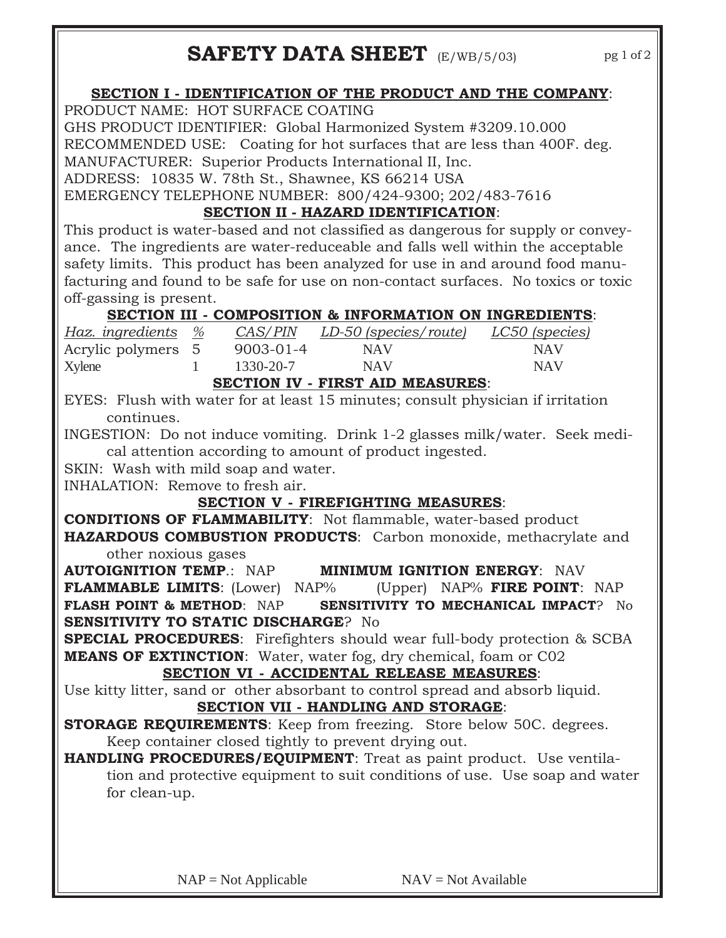## **SECTION I - IDENTIFICATION OF THE PRODUCT AND THE COMPANY**:

PRODUCT NAME: HOT SURFACE COATING

GHS PRODUCT IDENTIFIER: Global Harmonized System #3209.10.000 RECOMMENDED USE: Coating for hot surfaces that are less than 400F. deg. MANUFACTURER: Superior Products International II, Inc.

ADDRESS: 10835 W. 78th St., Shawnee, KS 66214 USA

EMERGENCY TELEPHONE NUMBER: 800/424-9300; 202/483-7616

## **SECTION II - HAZARD IDENTIFICATION**:

This product is water-based and not classified as dangerous for supply or conveyance. The ingredients are water-reduceable and falls well within the acceptable safety limits. This product has been analyzed for use in and around food manufacturing and found to be safe for use on non-contact surfaces. No toxics or toxic off-gassing is present.

# **SECTION III - COMPOSITION & INFORMATION ON INGREDIENTS**:

| Xylene               | 1330-20-7       | <b>NAV</b>                   | NAV <sub></sub> |
|----------------------|-----------------|------------------------------|-----------------|
| Acrylic polymers 5   | $9003 - 01 - 4$ | <b>NAV</b>                   | NAV             |
| Haz. ingredients   % | <i>CAS/PIN</i>  | <u>LD-50 (species/route)</u> | LC50 (species)  |

## **SECTION IV - FIRST AID MEASURES**:

EYES: Flush with water for at least 15 minutes; consult physician if irritation continues.

INGESTION: Do not induce vomiting. Drink 1-2 glasses milk/water. Seek medical attention according to amount of product ingested.

SKIN: Wash with mild soap and water.

INHALATION: Remove to fresh air.

# **SECTION V - FIREFIGHTING MEASURES**:

**CONDITIONS OF FLAMMABILITY**: Not flammable, water-based product **HAZARDOUS COMBUSTION PRODUCTS**: Carbon monoxide, methacrylate and other noxious gases

**AUTOIGNITION TEMP**.: NAP **MINIMUM IGNITION ENERGY**: NAV **FLAMMABLE LIMITS**: (Lower) NAP% (Upper) NAP% **FIRE POINT**: NAP **FLASH POINT & METHOD**: NAP **SENSITIVITY TO MECHANICAL IMPACT**? No **SENSITIVITY TO STATIC DISCHARGE**? No

**SPECIAL PROCEDURES**: Firefighters should wear full-body protection & SCBA **MEANS OF EXTINCTION**: Water, water fog, dry chemical, foam or C02

## **SECTION VI - ACCIDENTAL RELEASE MEASURES**:

Use kitty litter, sand or other absorbant to control spread and absorb liquid. **SECTION VII - HANDLING AND STORAGE**:

**STORAGE REQUIREMENTS:** Keep from freezing. Store below 50C. degrees. Keep container closed tightly to prevent drying out.

**HANDLING PROCEDURES/EQUIPMENT**: Treat as paint product. Use ventilation and protective equipment to suit conditions of use. Use soap and water for clean-up.